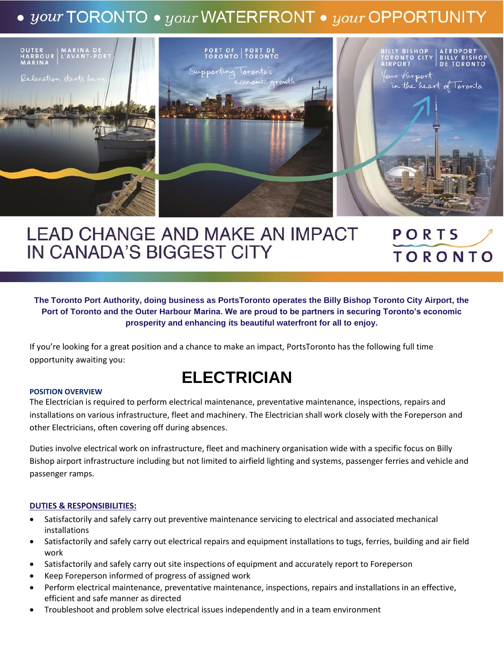# $\bullet$  your TORONTO  $\bullet$  your WATERFRONT  $\bullet$  your OPPORTUNITY



# **LEAD CHANGE AND MAKE AN IMPACT** PORTS IN CANADA'S BIGGEST CITY **TORONTO**

**The Toronto Port Authority, doing business as PortsToronto operates the Billy Bishop Toronto City Airport, the Port of Toronto and the Outer Harbour Marina. We are proud to be partners in securing Toronto's economic prosperity and enhancing its beautiful waterfront for all to enjoy.**

If you're looking for a great position and a chance to make an impact, PortsToronto has the following full time opportunity awaiting you:

# **ELECTRICIAN**

#### **POSITION OVERVIEW**

The Electrician is required to perform electrical maintenance, preventative maintenance, inspections, repairs and installations on various infrastructure, fleet and machinery. The Electrician shall work closely with the Foreperson and other Electricians, often covering off during absences.

Duties involve electrical work on infrastructure, fleet and machinery organisation wide with a specific focus on Billy Bishop airport infrastructure including but not limited to airfield lighting and systems, passenger ferries and vehicle and passenger ramps.

### **DUTIES & RESPONSIBILITIES:**

- Satisfactorily and safely carry out preventive maintenance servicing to electrical and associated mechanical installations
- Satisfactorily and safely carry out electrical repairs and equipment installations to tugs, ferries, building and air field work
- Satisfactorily and safely carry out site inspections of equipment and accurately report to Foreperson
- Keep Foreperson informed of progress of assigned work
- Perform electrical maintenance, preventative maintenance, inspections, repairs and installations in an effective, efficient and safe manner as directed
- Troubleshoot and problem solve electrical issues independently and in a team environment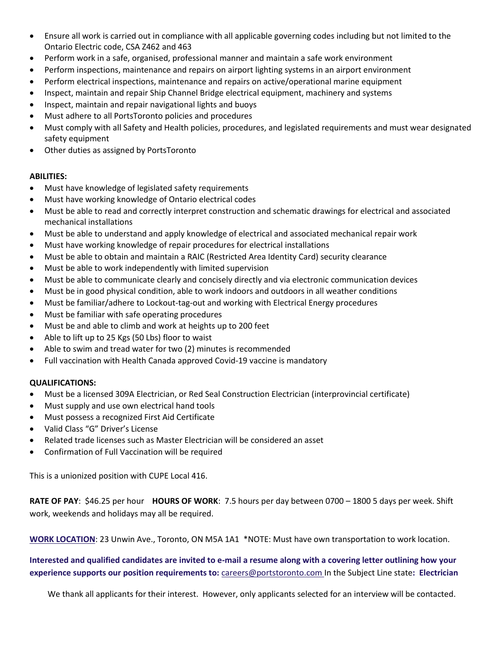- Ensure all work is carried out in compliance with all applicable governing codes including but not limited to the Ontario Electric code, CSA Z462 and 463
- Perform work in a safe, organised, professional manner and maintain a safe work environment
- Perform inspections, maintenance and repairs on airport lighting systems in an airport environment
- Perform electrical inspections, maintenance and repairs on active/operational marine equipment
- Inspect, maintain and repair Ship Channel Bridge electrical equipment, machinery and systems
- Inspect, maintain and repair navigational lights and buoys
- Must adhere to all PortsToronto policies and procedures
- Must comply with all Safety and Health policies, procedures, and legislated requirements and must wear designated safety equipment
- Other duties as assigned by PortsToronto

# **ABILITIES:**

- Must have knowledge of legislated safety requirements
- Must have working knowledge of Ontario electrical codes
- Must be able to read and correctly interpret construction and schematic drawings for electrical and associated mechanical installations
- Must be able to understand and apply knowledge of electrical and associated mechanical repair work
- Must have working knowledge of repair procedures for electrical installations
- Must be able to obtain and maintain a RAIC (Restricted Area Identity Card) security clearance
- Must be able to work independently with limited supervision
- Must be able to communicate clearly and concisely directly and via electronic communication devices
- Must be in good physical condition, able to work indoors and outdoors in all weather conditions
- Must be familiar/adhere to Lockout-tag-out and working with Electrical Energy procedures
- Must be familiar with safe operating procedures
- Must be and able to climb and work at heights up to 200 feet
- Able to lift up to 25 Kgs (50 Lbs) floor to waist
- Able to swim and tread water for two (2) minutes is recommended
- Full vaccination with Health Canada approved Covid-19 vaccine is mandatory

# **QUALIFICATIONS:**

- Must be a licensed 309A Electrician, or Red Seal Construction Electrician (interprovincial certificate)
- Must supply and use own electrical hand tools
- Must possess a recognized First Aid Certificate
- Valid Class "G" Driver's License
- Related trade licenses such as Master Electrician will be considered an asset
- Confirmation of Full Vaccination will be required

This is a unionized position with CUPE Local 416.

**RATE OF PAY**: \$46.25 per hour **HOURS OF WORK**: 7.5 hours per day between 0700 – 1800 5 days per week. Shift work, weekends and holidays may all be required.

**WORK LOCATION**: 23 Unwin Ave., Toronto, ON M5A 1A1 \*NOTE: Must have own transportation to work location.

**Interested and qualified candidates are invited to e-mail a resume along with a covering letter outlining how your experience supports our position requirements to:** [careers@portstoronto.com](mailto:careers@portstoronto.com) In the Subject Line state**: Electrician**

We thank all applicants for their interest. However, only applicants selected for an interview will be contacted.